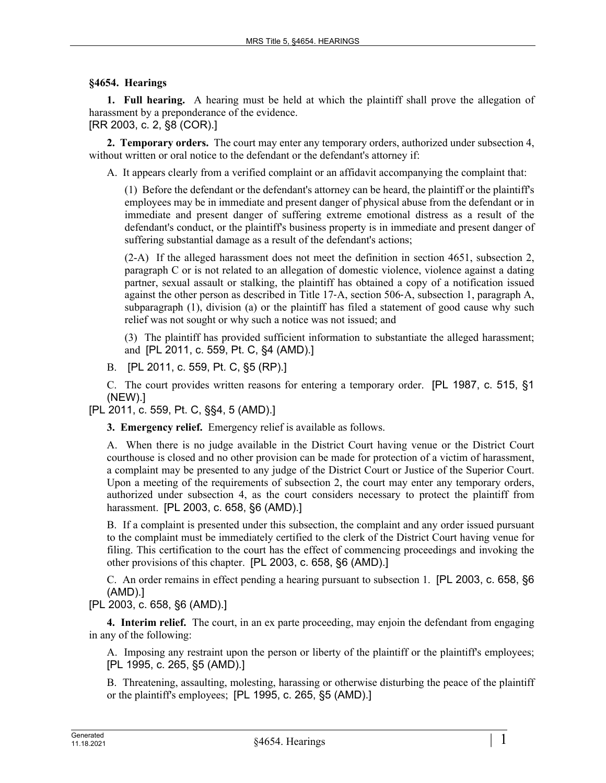## **§4654. Hearings**

**1. Full hearing.** A hearing must be held at which the plaintiff shall prove the allegation of harassment by a preponderance of the evidence.

## [RR 2003, c. 2, §8 (COR).]

**2. Temporary orders.** The court may enter any temporary orders, authorized under subsection 4, without written or oral notice to the defendant or the defendant's attorney if:

A. It appears clearly from a verified complaint or an affidavit accompanying the complaint that:

(1) Before the defendant or the defendant's attorney can be heard, the plaintiff or the plaintiff's employees may be in immediate and present danger of physical abuse from the defendant or in immediate and present danger of suffering extreme emotional distress as a result of the defendant's conduct, or the plaintiff's business property is in immediate and present danger of suffering substantial damage as a result of the defendant's actions;

(2-A) If the alleged harassment does not meet the definition in section 4651, subsection 2, paragraph C or is not related to an allegation of domestic violence, violence against a dating partner, sexual assault or stalking, the plaintiff has obtained a copy of a notification issued against the other person as described in Title 17‑A, section 506‑A, subsection 1, paragraph A, subparagraph (1), division (a) or the plaintiff has filed a statement of good cause why such relief was not sought or why such a notice was not issued; and

(3) The plaintiff has provided sufficient information to substantiate the alleged harassment; and [PL 2011, c. 559, Pt. C, §4 (AMD).]

B. [PL 2011, c. 559, Pt. C, §5 (RP).]

C. The court provides written reasons for entering a temporary order. [PL 1987, c. 515, §1 (NEW).]

[PL 2011, c. 559, Pt. C, §§4, 5 (AMD).]

**3. Emergency relief.** Emergency relief is available as follows.

A. When there is no judge available in the District Court having venue or the District Court courthouse is closed and no other provision can be made for protection of a victim of harassment, a complaint may be presented to any judge of the District Court or Justice of the Superior Court. Upon a meeting of the requirements of subsection 2, the court may enter any temporary orders, authorized under subsection 4, as the court considers necessary to protect the plaintiff from harassment. [PL 2003, c. 658, §6 (AMD).]

B. If a complaint is presented under this subsection, the complaint and any order issued pursuant to the complaint must be immediately certified to the clerk of the District Court having venue for filing. This certification to the court has the effect of commencing proceedings and invoking the other provisions of this chapter. [PL 2003, c. 658, §6 (AMD).]

C. An order remains in effect pending a hearing pursuant to subsection 1. [PL 2003, c. 658, §6 (AMD).]

[PL 2003, c. 658, §6 (AMD).]

**4. Interim relief.** The court, in an ex parte proceeding, may enjoin the defendant from engaging in any of the following:

A. Imposing any restraint upon the person or liberty of the plaintiff or the plaintiff's employees; [PL 1995, c. 265, §5 (AMD).]

B. Threatening, assaulting, molesting, harassing or otherwise disturbing the peace of the plaintiff or the plaintiff's employees; [PL 1995, c. 265, §5 (AMD).]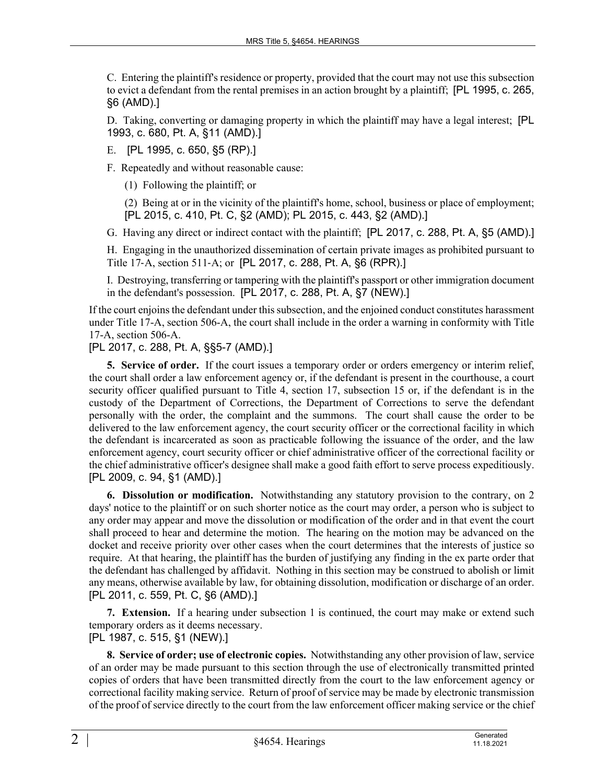C. Entering the plaintiff's residence or property, provided that the court may not use this subsection to evict a defendant from the rental premises in an action brought by a plaintiff; [PL 1995, c. 265, §6 (AMD).]

D. Taking, converting or damaging property in which the plaintiff may have a legal interest; [PL 1993, c. 680, Pt. A, §11 (AMD).]

E. [PL 1995, c. 650, §5 (RP).]

F. Repeatedly and without reasonable cause:

(1) Following the plaintiff; or

(2) Being at or in the vicinity of the plaintiff's home, school, business or place of employment; [PL 2015, c. 410, Pt. C, §2 (AMD); PL 2015, c. 443, §2 (AMD).]

G. Having any direct or indirect contact with the plaintiff; [PL 2017, c. 288, Pt. A, §5 (AMD).]

H. Engaging in the unauthorized dissemination of certain private images as prohibited pursuant to Title 17‑A, section 511‑A; or [PL 2017, c. 288, Pt. A, §6 (RPR).]

I. Destroying, transferring or tampering with the plaintiff's passport or other immigration document in the defendant's possession. [PL 2017, c. 288, Pt. A, §7 (NEW).]

If the court enjoins the defendant under this subsection, and the enjoined conduct constitutes harassment under Title 17-A, section 506-A, the court shall include in the order a warning in conformity with Title 17-A, section 506-A.

[PL 2017, c. 288, Pt. A, §§5-7 (AMD).]

**5. Service of order.** If the court issues a temporary order or orders emergency or interim relief, the court shall order a law enforcement agency or, if the defendant is present in the courthouse, a court security officer qualified pursuant to Title 4, section 17, subsection 15 or, if the defendant is in the custody of the Department of Corrections, the Department of Corrections to serve the defendant personally with the order, the complaint and the summons. The court shall cause the order to be delivered to the law enforcement agency, the court security officer or the correctional facility in which the defendant is incarcerated as soon as practicable following the issuance of the order, and the law enforcement agency, court security officer or chief administrative officer of the correctional facility or the chief administrative officer's designee shall make a good faith effort to serve process expeditiously. [PL 2009, c. 94, §1 (AMD).]

**6. Dissolution or modification.** Notwithstanding any statutory provision to the contrary, on 2 days' notice to the plaintiff or on such shorter notice as the court may order, a person who is subject to any order may appear and move the dissolution or modification of the order and in that event the court shall proceed to hear and determine the motion. The hearing on the motion may be advanced on the docket and receive priority over other cases when the court determines that the interests of justice so require. At that hearing, the plaintiff has the burden of justifying any finding in the ex parte order that the defendant has challenged by affidavit. Nothing in this section may be construed to abolish or limit any means, otherwise available by law, for obtaining dissolution, modification or discharge of an order. [PL 2011, c. 559, Pt. C, §6 (AMD).]

**7. Extension.** If a hearing under subsection 1 is continued, the court may make or extend such temporary orders as it deems necessary.

[PL 1987, c. 515, §1 (NEW).]

**8. Service of order; use of electronic copies.** Notwithstanding any other provision of law, service of an order may be made pursuant to this section through the use of electronically transmitted printed copies of orders that have been transmitted directly from the court to the law enforcement agency or correctional facility making service. Return of proof of service may be made by electronic transmission of the proof of service directly to the court from the law enforcement officer making service or the chief